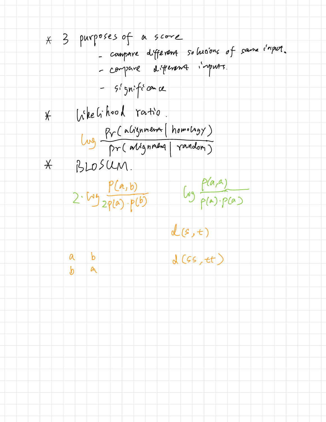\* 3 purposes of a score - compare different solutions of same c'ripet.<br>- compare different imputs.  $5^{1}$   $5^{1}$   $5^{2}$   $6^{2}$   $0^{2}$   $0^{2}$ When hood ratio  $\frac{1}{\lambda}$ Lug Pr (abignment (homology)  $BLOSMM$  $\star$  $2.592000.60$  $d(s,t)$  $d(65, ct)$  $|b|$  $\alpha$  $\mathbf{d}$ .  $\alpha$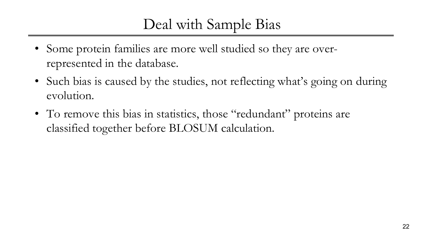## Deal with Sample Bias

- Some protein families are more well studied so they are overrepresented in the database.
- Such bias is caused by the studies, not reflecting what's going on during evolution.
- To remove this bias in statistics, those "redundant" proteins are classified together before BLOSUM calculation.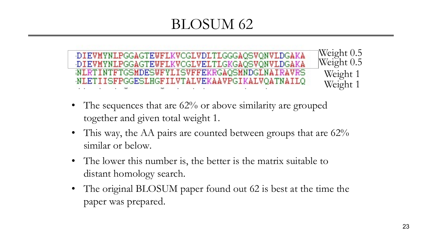## BLOSUM 62

Weight 0.5 DIEVMYNLPGGAGTEWFLKVCGLVDLTLGGGAQSVQNVLDGAKA Weight 0.5 DIEVMYNLPGGAGTEWFLKVCGLVELTLGKGAQSVQNVLDGAKA Weight 1 WLRTINTFTGSMDESWFYLISVFFEKRGAQSMNDGLNAIRAVRS NLETIISFPGGESLHGFILVTALVEKAAVPGIKALVQATNAILQ Weight 1

- The sequences that are 62% or above similarity are grouped together and given total weight 1.
- This way, the AA pairs are counted between groups that are 62% similar or below.
- The lower this number is, the better is the matrix suitable to distant homology search.
- The original BLOSUM paper found out 62 is best at the time the paper was prepared.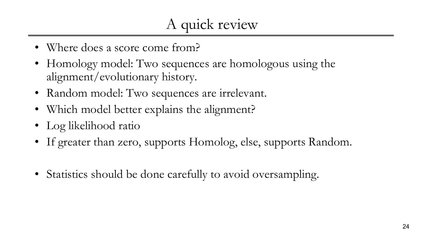- Where does a score come from?
- Homology model: Two sequences are homologous using the alignment/evolutionary history.
- Random model: Two sequences are irrelevant.
- Which model better explains the alignment?
- Log likelihood ratio
- If greater than zero, supports Homolog, else, supports Random.
- Statistics should be done carefully to avoid oversampling.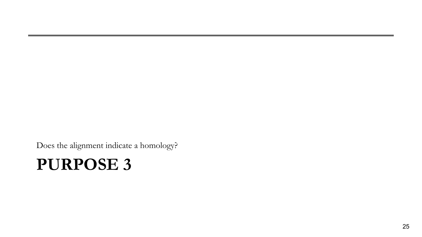Does the alignment indicate a homology?

## **PURPOSE 3**